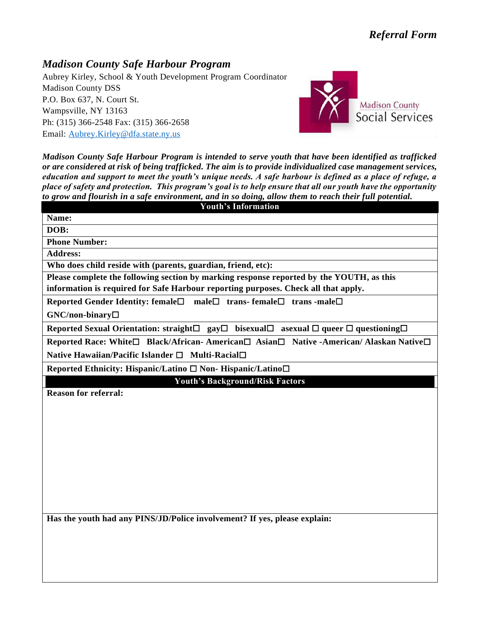## *Madison County Safe Harbour Program*

Aubrey Kirley, School & Youth Development Program Coordinator Madison County DSS P.O. Box 637, N. Court St. Wampsville, NY 13163 Ph: (315) 366-2548 Fax: (315) 366-2658 Email: [Aubrey.Kirley@dfa.state.ny.us](mailto:Aubrey.Kirley@dfa.state.ny.us)



*Madison County Safe Harbour Program is intended to serve youth that have been identified as trafficked or are considered at risk of being trafficked. The aim is to provide individualized case management services, education and support to meet the youth's unique needs. A safe harbour is defined as a place of refuge, a place of safety and protection. This program's goal is to help ensure that all our youth have the opportunity to grow and flourish in a safe environment, and in so doing, allow them to reach their full potential.*

| <b>Youth's Information</b>                                                                                                               |  |  |
|------------------------------------------------------------------------------------------------------------------------------------------|--|--|
| Name:                                                                                                                                    |  |  |
| DOB:                                                                                                                                     |  |  |
| <b>Phone Number:</b>                                                                                                                     |  |  |
| <b>Address:</b>                                                                                                                          |  |  |
| Who does child reside with (parents, guardian, friend, etc):                                                                             |  |  |
| Please complete the following section by marking response reported by the YOUTH, as this                                                 |  |  |
| information is required for Safe Harbour reporting purposes. Check all that apply.                                                       |  |  |
| Reported Gender Identity: female□ male□ trans-female□ trans -male□                                                                       |  |  |
| GNC/non-binary□                                                                                                                          |  |  |
| Reported Sexual Orientation: straight $\square$ gay $\square$ bisexual $\square$ asexual $\square$ queer $\square$ questioning $\square$ |  |  |
| Reported Race: White□ Black/African- American□ Asian□ Native -American/ Alaskan Native□                                                  |  |  |
| Native Hawaiian/Pacific Islander □ Multi-Racial□                                                                                         |  |  |
| Reported Ethnicity: Hispanic/Latino □ Non- Hispanic/Latino□                                                                              |  |  |
| <b>Youth's Background/Risk Factors</b>                                                                                                   |  |  |
| <b>Reason for referral:</b>                                                                                                              |  |  |
|                                                                                                                                          |  |  |
|                                                                                                                                          |  |  |
|                                                                                                                                          |  |  |
|                                                                                                                                          |  |  |
|                                                                                                                                          |  |  |
|                                                                                                                                          |  |  |
|                                                                                                                                          |  |  |
|                                                                                                                                          |  |  |
|                                                                                                                                          |  |  |
|                                                                                                                                          |  |  |
| Has the youth had any PINS/JD/Police involvement? If yes, please explain:                                                                |  |  |
|                                                                                                                                          |  |  |
|                                                                                                                                          |  |  |
|                                                                                                                                          |  |  |